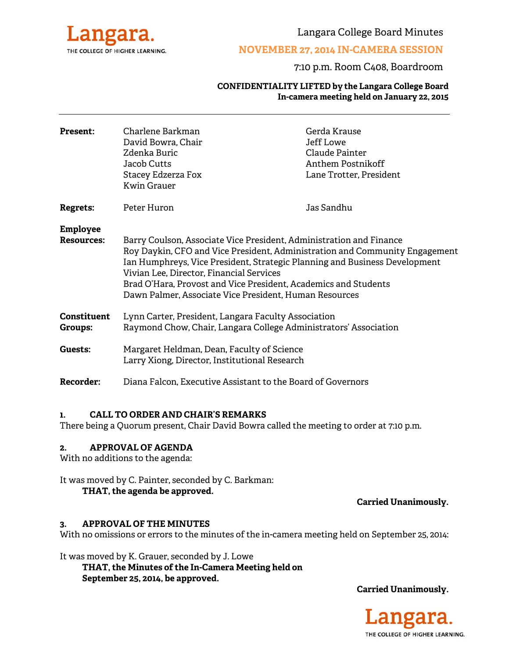

Langara College Board Minutes

#### **NOVEMBER 27, 2014 IN-CAMERA SESSION**

#### 7:10 p.m. Room C408, Boardroom

#### **CONFIDENTIALITY LIFTED by the Langara College Board In-camera meeting held on January 22, 2015**

| <b>Present:</b>               | Charlene Barkman<br>David Bowra, Chair<br>Zdenka Buric<br>Jacob Cutts<br>Stacey Edzerza Fox<br>Kwin Grauer                                                                                                                                                                                                                                                                                                | Gerda Krause<br>Jeff Lowe<br>Claude Painter<br>Anthem Postnikoff<br>Lane Trotter, President |
|-------------------------------|-----------------------------------------------------------------------------------------------------------------------------------------------------------------------------------------------------------------------------------------------------------------------------------------------------------------------------------------------------------------------------------------------------------|---------------------------------------------------------------------------------------------|
| <b>Regrets:</b>               | Peter Huron                                                                                                                                                                                                                                                                                                                                                                                               | Jas Sandhu                                                                                  |
| Employee<br><b>Resources:</b> | Barry Coulson, Associate Vice President, Administration and Finance<br>Roy Daykin, CFO and Vice President, Administration and Community Engagement<br>Ian Humphreys, Vice President, Strategic Planning and Business Development<br>Vivian Lee, Director, Financial Services<br>Brad O'Hara, Provost and Vice President, Academics and Students<br>Dawn Palmer, Associate Vice President, Human Resources |                                                                                             |
| Constituent<br>Groups:        | Lynn Carter, President, Langara Faculty Association<br>Raymond Chow, Chair, Langara College Administrators' Association                                                                                                                                                                                                                                                                                   |                                                                                             |
| Guests:                       | Margaret Heldman, Dean, Faculty of Science<br>Larry Xiong, Director, Institutional Research                                                                                                                                                                                                                                                                                                               |                                                                                             |
| <b>Recorder:</b>              | Diana Falcon, Executive Assistant to the Board of Governors                                                                                                                                                                                                                                                                                                                                               |                                                                                             |
|                               |                                                                                                                                                                                                                                                                                                                                                                                                           |                                                                                             |

#### **1. CALL TO ORDER AND CHAIR'S REMARKS**

There being a Quorum present, Chair David Bowra called the meeting to order at 7:10 p.m.

#### **2. APPROVAL OF AGENDA**

With no additions to the agenda:

It was moved by C. Painter, seconded by C. Barkman: **THAT, the agenda be approved.** 

**Carried Unanimously.**

#### **3. APPROVAL OF THE MINUTES**

With no omissions or errors to the minutes of the in-camera meeting held on September 25, 2014:

It was moved by K. Grauer, seconded by J. Lowe

 **THAT, the Minutes of the In-Camera Meeting held on September 25, 2014, be approved.** 

**Carried Unanimously.** 

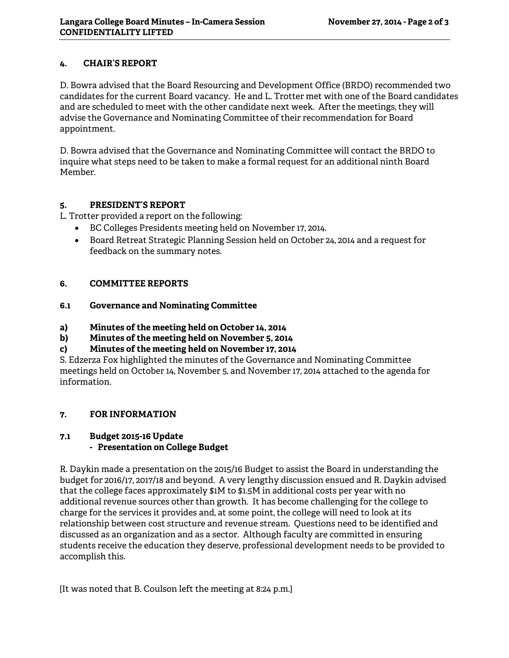### **4. CHAIR'S REPORT**

D. Bowra advised that the Board Resourcing and Development Office (BRDO) recommended two candidates for the current Board vacancy. He and L. Trotter met with one of the Board candidates and are scheduled to meet with the other candidate next week. After the meetings, they will advise the Governance and Nominating Committee of their recommendation for Board appointment.

D. Bowra advised that the Governance and Nominating Committee will contact the BRDO to inquire what steps need to be taken to make a formal request for an additional ninth Board Member.

### **5. PRESIDENT'S REPORT**

L. Trotter provided a report on the following:

- BC Colleges Presidents meeting held on November 17, 2014.
- Board Retreat Strategic Planning Session held on October 24, 2014 and a request for feedback on the summary notes.

## **6. COMMITTEE REPORTS**

### **6.1 Governance and Nominating Committee**

- **a) Minutes of the meeting held on October 14, 2014**
- **b) Minutes of the meeting held on November 5, 2014**
- **c) Minutes of the meeting held on November 17, 2014**

S. Edzerza Fox highlighted the minutes of the Governance and Nominating Committee meetings held on October 14, November 5, and November 17, 2014 attached to the agenda for information.

# **7. FOR INFORMATION**

# **7.1 Budget 2015-16 Update**

# **- Presentation on College Budget**

R. Daykin made a presentation on the 2015/16 Budget to assist the Board in understanding the budget for 2016/17, 2017/18 and beyond. A very lengthy discussion ensued and R. Daykin advised that the college faces approximately \$1M to \$1.5M in additional costs per year with no additional revenue sources other than growth. It has become challenging for the college to charge for the services it provides and, at some point, the college will need to look at its relationship between cost structure and revenue stream. Questions need to be identified and discussed as an organization and as a sector. Although faculty are committed in ensuring students receive the education they deserve, professional development needs to be provided to accomplish this.

[It was noted that B. Coulson left the meeting at 8:24 p.m.]